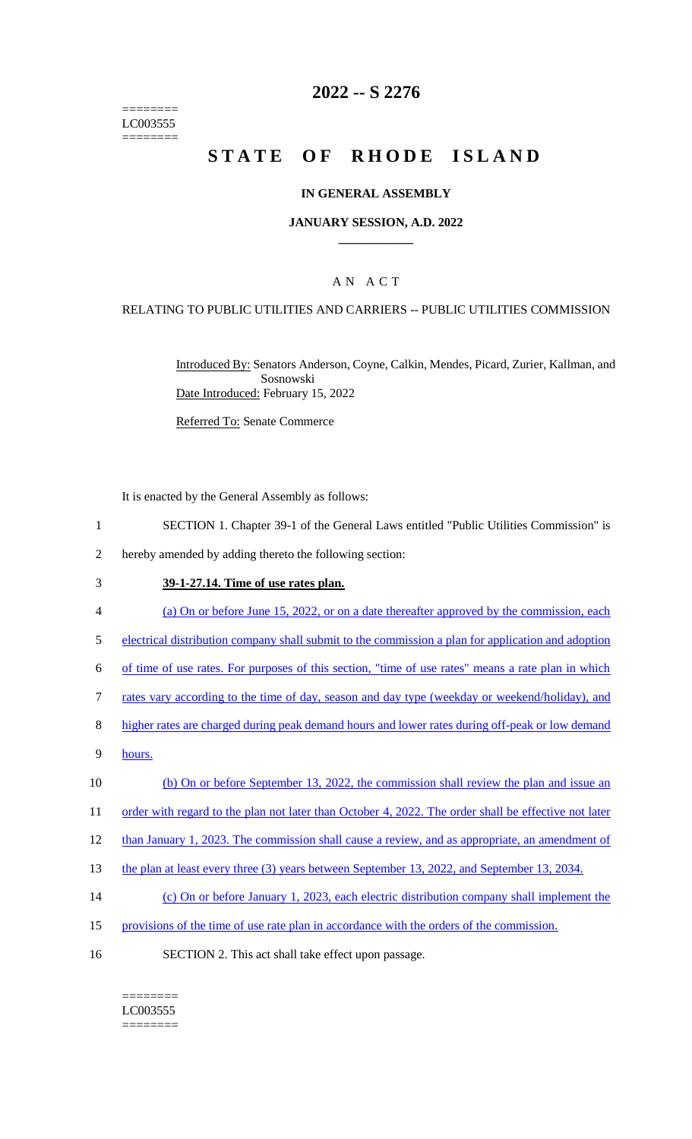======== LC003555 ========

## **2022 -- S 2276**

# **STATE OF RHODE ISLAND**

#### **IN GENERAL ASSEMBLY**

#### **JANUARY SESSION, A.D. 2022 \_\_\_\_\_\_\_\_\_\_\_\_**

### A N A C T

#### RELATING TO PUBLIC UTILITIES AND CARRIERS -- PUBLIC UTILITIES COMMISSION

Introduced By: Senators Anderson, Coyne, Calkin, Mendes, Picard, Zurier, Kallman, and Sosnowski Date Introduced: February 15, 2022

Referred To: Senate Commerce

It is enacted by the General Assembly as follows:

- 1 SECTION 1. Chapter 39-1 of the General Laws entitled "Public Utilities Commission" is
- 2 hereby amended by adding thereto the following section:

#### 3 **39-1-27.14. Time of use rates plan.**

- 4 (a) On or before June 15, 2022, or on a date thereafter approved by the commission, each
- 5 electrical distribution company shall submit to the commission a plan for application and adoption
- 6 of time of use rates. For purposes of this section, "time of use rates" means a rate plan in which
- 7 rates vary according to the time of day, season and day type (weekday or weekend/holiday), and
- 8 higher rates are charged during peak demand hours and lower rates during off-peak or low demand
- 9 hours.
- 10 (b) On or before September 13, 2022, the commission shall review the plan and issue an
- 11 order with regard to the plan not later than October 4, 2022. The order shall be effective not later
- 12 than January 1, 2023. The commission shall cause a review, and as appropriate, an amendment of
- 13 the plan at least every three (3) years between September 13, 2022, and September 13, 2034.
- 14 (c) On or before January 1, 2023, each electric distribution company shall implement the
- 15 provisions of the time of use rate plan in accordance with the orders of the commission.
- 16 SECTION 2. This act shall take effect upon passage.

======== LC003555 ========